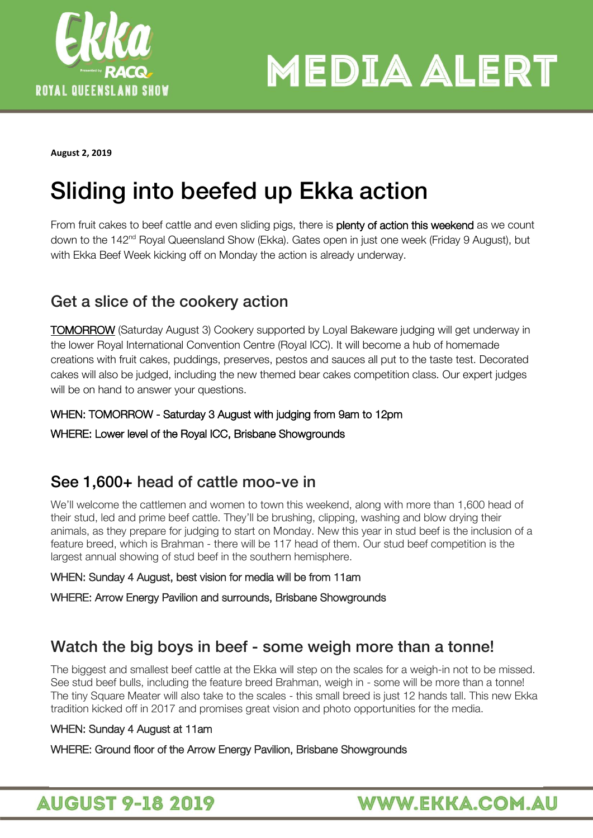

**MEDIA ALERT** 

**August 2, 2019** 

From fruit cakes to beef cattle and even sliding pigs, there is **plenty of action this weekend** as we count down to the 142<sup>nd</sup> Royal Queensland Show (Ekka). Gates open in just one week (Friday 9 August), but with Ekka Beef Week kicking off on Monday the action is already underway.

# $G_{\rm eff}$  and  $G_{\rm eff}$  action and  $G_{\rm eff}$  actions

TOMORROW (Saturday August 3) Cookery supported by Loyal Bakeware judging will get underway in the lower Royal International Convention Centre (Royal ICC). It will become a hub of homemade creations with fruit cakes, puddings, preserves, pestos and sauces all put to the taste test. Decorated cakes will also be judged, including the new themed bear cakes competition class. Our expert judges will be on hand to answer your questions.

## WHEN: TOMORROW - Saturday 3 August with judging from 9am to 12pm

WHERE: Lower level of the Royal ICC, Brisbane Showgrounds

we'll welcome the cattlemen and women to town this weekend, along with more than 1,600 head of their stud, led and prime beef cattle. They'll be brushing, clipping, washing and blow drying their animals, as they prepare for judging to start on Monday. New this year in stud beef is the inclusion of a feature breed, which is Brahman - there will be 117 head of them. Our stud beef competition is the largest annual showing of stud beef in the southern hemisphere.

### WHEN: Sunday 4 August, best vision for media will be from 11am

WHERE: Arrow Energy Pavilion and surrounds, Brisbane Showgrounds

The biggest and smallest beef cattle at the Ekka will step on the scales for a weigh-in not to be missed. See stud beef bulls, including the feature breed Brahman, weigh in - some will be more than a tonne! The tiny Square Meater will also take to the scales - this small breed is just 12 hands tall. This new Ekka tradition kicked off in 2017 and promises great vision and photo opportunities for the media.

## WHEN: Sunday 4 August at 11am

WHERE: Ground floor of the Arrow Energy Pavilion, Brisbane Showgrounds

## **AUGUST 9-18 2019**

## **WWW.EKKA.COM.AU**